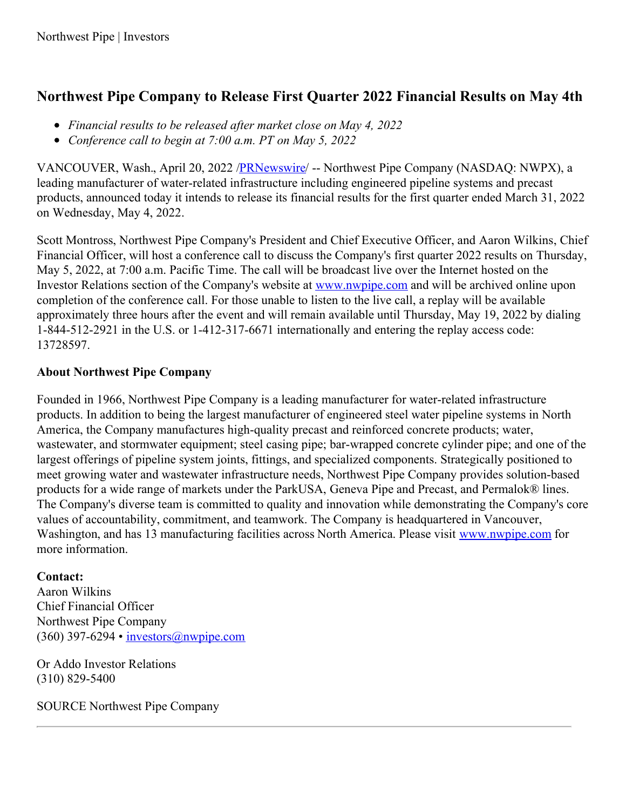## **Northwest Pipe Company to Release First Quarter 2022 Financial Results on May 4th**

- *Financial results to be released after market close on May 4, 2022*
- *Conference call to begin at 7:00 a.m. PT on May 5, 2022*

VANCOUVER, Wash., April 20, 2022 [/PRNewswire](http://www.prnewswire.com/)/ -- Northwest Pipe Company (NASDAQ: NWPX), a leading manufacturer of water-related infrastructure including engineered pipeline systems and precast products, announced today it intends to release its financial results for the first quarter ended March 31, 2022 on Wednesday, May 4, 2022.

Scott Montross, Northwest Pipe Company's President and Chief Executive Officer, and Aaron Wilkins, Chief Financial Officer, will host a conference call to discuss the Company's first quarter 2022 results on Thursday, May 5, 2022, at 7:00 a.m. Pacific Time. The call will be broadcast live over the Internet hosted on the Investor Relations section of the Company's website at [www.nwpipe.com](https://c212.net/c/link/?t=0&l=en&o=3509479-1&h=2394691683&u=http%3A%2F%2Fwww.nwpipe.com%2F&a=www.nwpipe.com) and will be archived online upon completion of the conference call. For those unable to listen to the live call, a replay will be available approximately three hours after the event and will remain available until Thursday, May 19, 2022 by dialing 1-844-512-2921 in the U.S. or 1-412-317-6671 internationally and entering the replay access code: 13728597.

## **About Northwest Pipe Company**

Founded in 1966, Northwest Pipe Company is a leading manufacturer for water-related infrastructure products. In addition to being the largest manufacturer of engineered steel water pipeline systems in North America, the Company manufactures high-quality precast and reinforced concrete products; water, wastewater, and stormwater equipment; steel casing pipe; bar-wrapped concrete cylinder pipe; and one of the largest offerings of pipeline system joints, fittings, and specialized components. Strategically positioned to meet growing water and wastewater infrastructure needs, Northwest Pipe Company provides solution-based products for a wide range of markets under the ParkUSA, Geneva Pipe and Precast, and Permalok® lines. The Company's diverse team is committed to quality and innovation while demonstrating the Company's core values of accountability, commitment, and teamwork. The Company is headquartered in Vancouver, Washington, and has 13 manufacturing facilities across North America. Please visit [www.nwpipe.com](https://c212.net/c/link/?t=0&l=en&o=3509479-1&h=2394691683&u=http%3A%2F%2Fwww.nwpipe.com%2F&a=www.nwpipe.com) for more information.

## **Contact:**

Aaron Wilkins Chief Financial Officer Northwest Pipe Company (360) 397-6294 • [investors@nwpipe.com](mailto:investors@nwpipe.com)

Or Addo Investor Relations (310) 829-5400

SOURCE Northwest Pipe Company